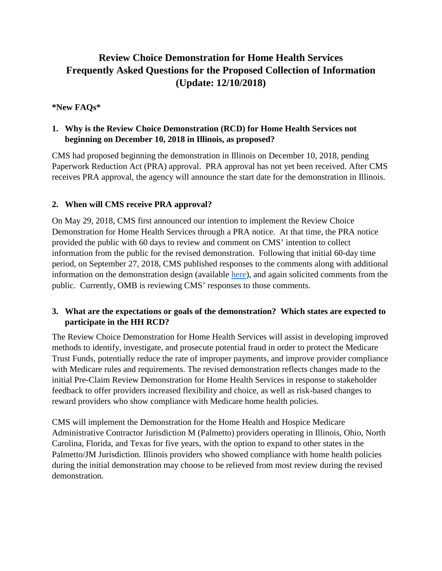# **Review Choice Demonstration for Home Health Services Frequently Asked Questions for the Proposed Collection of Information (Update: 12/10/2018)**

## **\*New FAQs\***

# **1. Why is the Review Choice Demonstration (RCD) for Home Health Services not beginning on December 10, 2018 in Illinois, as proposed?**

CMS had proposed beginning the demonstration in Illinois on December 10, 2018, pending Paperwork Reduction Act (PRA) approval. PRA approval has not yet been received. After CMS receives PRA approval, the agency will announce the start date for the demonstration in Illinois.

## **2. When will CMS receive PRA approval?**

On May 29, 2018, CMS first announced our intention to implement the Review Choice Demonstration for Home Health Services through a PRA notice. At that time, the PRA notice provided the public with 60 days to review and comment on CMS' intention to collect information from the public for the revised demonstration. Following that initial 60-day time period, on September 27, 2018, CMS published responses to the comments along with additional information on the demonstration design (available [here\)](https://www.cms.gov/Regulations-and-Guidance/Legislation/PaperworkReductionActof1995/PRA-Listing-Items/CMS-10599.html?DLPage=3&DLEntries=10&DLSort=1&DLSortDir=descending), and again solicited comments from the public. Currently, OMB is reviewing CMS' responses to those comments.

## **3. What are the expectations or goals of the demonstration? Which states are expected to participate in the HH RCD?**

The Review Choice Demonstration for Home Health Services will assist in developing improved methods to identify, investigate, and prosecute potential fraud in order to protect the Medicare Trust Funds, potentially reduce the rate of improper payments, and improve provider compliance with Medicare rules and requirements. The revised demonstration reflects changes made to the initial Pre-Claim Review Demonstration for Home Health Services in response to stakeholder feedback to offer providers increased flexibility and choice, as well as risk-based changes to reward providers who show compliance with Medicare home health policies.

CMS will implement the Demonstration for the Home Health and Hospice Medicare Administrative Contractor Jurisdiction M (Palmetto) providers operating in Illinois, Ohio, North Carolina, Florida, and Texas for five years, with the option to expand to other states in the Palmetto/JM Jurisdiction. Illinois providers who showed compliance with home health policies during the initial demonstration may choose to be relieved from most review during the revised demonstration.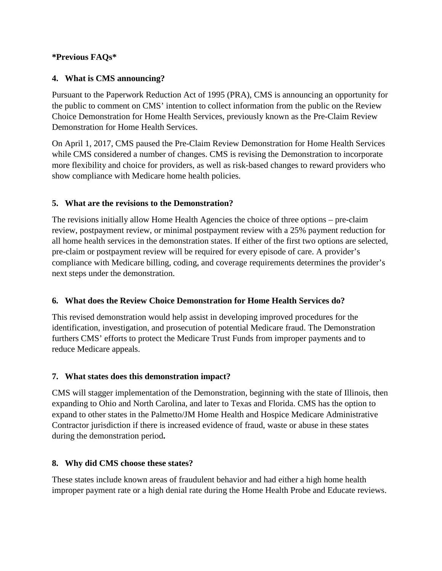#### **\*Previous FAQs\***

## **4. What is CMS announcing?**

Pursuant to the Paperwork Reduction Act of 1995 (PRA), CMS is announcing an opportunity for the public to comment on CMS' intention to collect information from the public on the Review Choice Demonstration for Home Health Services, previously known as the Pre-Claim Review Demonstration for Home Health Services.

On April 1, 2017, CMS paused the Pre-Claim Review Demonstration for Home Health Services while CMS considered a number of changes. CMS is revising the Demonstration to incorporate more flexibility and choice for providers, as well as risk-based changes to reward providers who show compliance with Medicare home health policies.

## **5. What are the revisions to the Demonstration?**

The revisions initially allow Home Health Agencies the choice of three options – pre-claim review, postpayment review, or minimal postpayment review with a 25% payment reduction for all home health services in the demonstration states. If either of the first two options are selected, pre-claim or postpayment review will be required for every episode of care. A provider's compliance with Medicare billing, coding, and coverage requirements determines the provider's next steps under the demonstration.

#### **6. What does the Review Choice Demonstration for Home Health Services do?**

This revised demonstration would help assist in developing improved procedures for the identification, investigation, and prosecution of potential Medicare fraud. The Demonstration furthers CMS' efforts to protect the Medicare Trust Funds from improper payments and to reduce Medicare appeals.

#### **7. What states does this demonstration impact?**

CMS will stagger implementation of the Demonstration, beginning with the state of Illinois, then expanding to Ohio and North Carolina, and later to Texas and Florida. CMS has the option to expand to other states in the Palmetto/JM Home Health and Hospice Medicare Administrative Contractor jurisdiction if there is increased evidence of fraud, waste or abuse in these states during the demonstration period**.**

#### **8. Why did CMS choose these states?**

These states include known areas of fraudulent behavior and had either a high home health improper payment rate or a high denial rate during the Home Health Probe and Educate reviews.